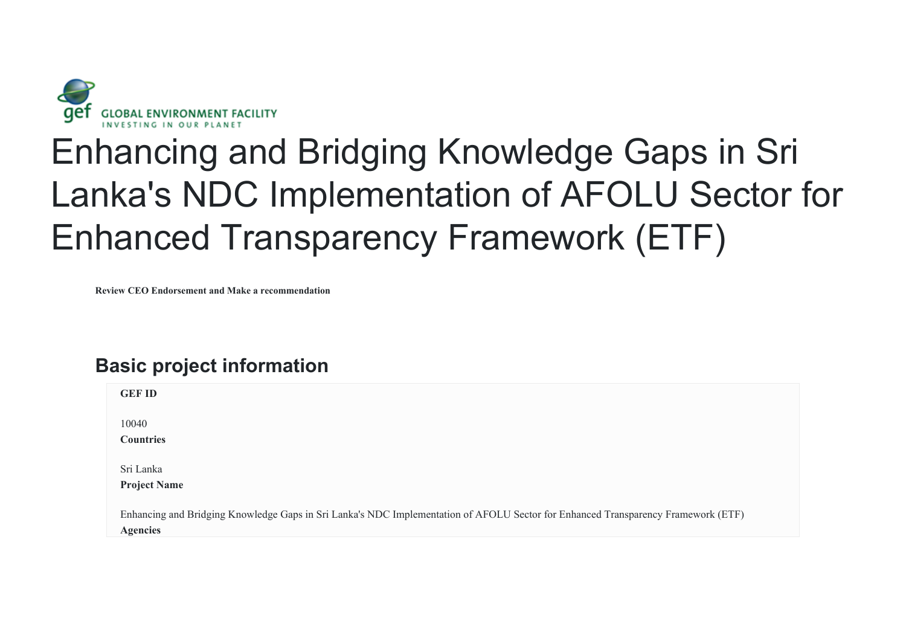

# Enhancing and Bridging Knowledge Gaps in Sri Lanka's NDC Implementation of AFOLU Sector for Enhanced Transparency Framework (ETF)

**Review CEO Endorsement and Make a recommendation**

## **Basic project information**

| <b>GEF ID</b>                                                                                                                     |
|-----------------------------------------------------------------------------------------------------------------------------------|
|                                                                                                                                   |
| 10040                                                                                                                             |
|                                                                                                                                   |
| <b>Countries</b>                                                                                                                  |
|                                                                                                                                   |
|                                                                                                                                   |
| Sri Lanka                                                                                                                         |
|                                                                                                                                   |
| <b>Project Name</b>                                                                                                               |
|                                                                                                                                   |
|                                                                                                                                   |
| Enhancing and Bridging Knowledge Gaps in Sri Lanka's NDC Implementation of AFOLU Sector for Enhanced Transparency Framework (ETF) |
| <b>Agencies</b>                                                                                                                   |
|                                                                                                                                   |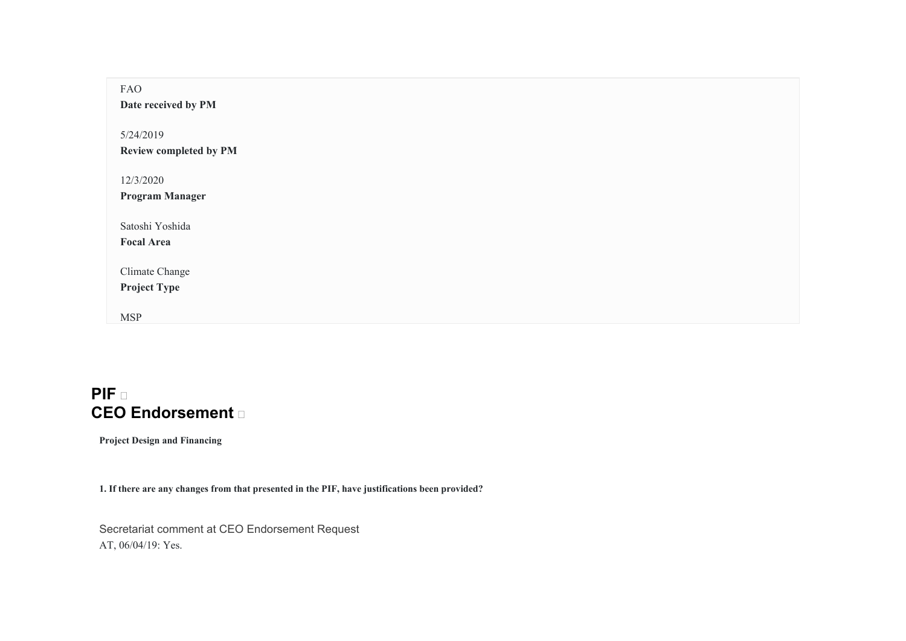| FAO<br>Date received by PM                 |
|--------------------------------------------|
| 5/24/2019<br><b>Review completed by PM</b> |
| 12/3/2020<br><b>Program Manager</b>        |
| Satoshi Yoshida<br><b>Focal Area</b>       |
| Climate Change<br><b>Project Type</b>      |
| <b>MSP</b>                                 |

### **PIF CEO Endorsement**

**Project Design and Financing** 

**1. If there are any changes from that presented in the PIF, have justifications been provided?** 

Secretariat comment at CEO Endorsement Request AT, 06/04/19: Yes.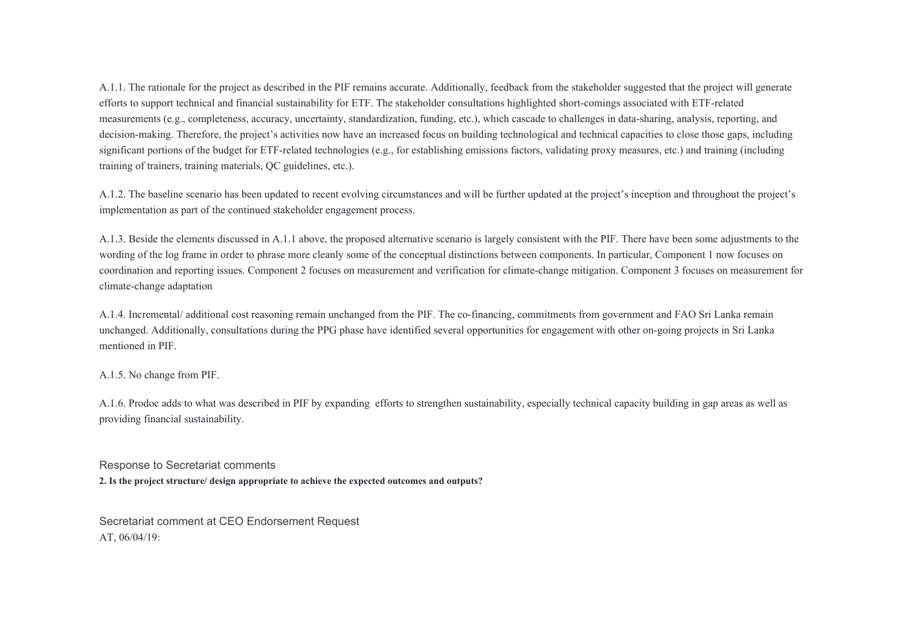A.1.1. The rationale for the project as described in the PIF remains accurate. Additionally, feedback from the stakeholder suggested that the project will generate efforts to support technical and financial sustainability for ETF. The stakeholder consultations highlighted short-comings associated with ETF-related measurements (e.g., completeness, accuracy, uncertainty, standardization, funding, etc.), which cascade to challenges in data-sharing, analysis, reporting, and decision-making. Therefore, the project's activities now have an increased focus on building technological and technical capacities to close those gaps, including significant portions of the budget for ETF-related technologies (e.g., for establishing emissions factors, validating proxy measures, etc.) and training (including training of trainers, training materials, QC guidelines, etc.).

A.1.2. The baseline scenario has been updated to recent evolving circumstances and will be further updated at the project's inception and throughout the project's implementation as part of the continued stakeholder engagement process.

A.1.3. Beside the elements discussed in A.1.1 above, the proposed alternative scenario is largely consistent with the PIF. There have been some adjustments to the wording of the log frame in order to phrase more cleanly some of the conceptual distinctions between components. In particular, Component 1 now focuses on coordination and reporting issues. Component 2 focuses on measurement and verification for climate-change mitigation. Component 3 focuses on measurement for climate-change adaptation

A.1.4. Incremental/ additional cost reasoning remain unchanged from the PIF. The co-financing, commitments from government and FAO Sri Lanka remain unchanged. Additionally, consultations during the PPG phase have identified several opportunities for engagement with other on-going projects in Sri Lanka mentioned in PIF.

A.1.5. No change from PIF.

A.1.6. Prodoc adds to what was described in PIF by expanding efforts to strengthen sustainability, especially technical capacity building in gap areas as well as providing financial sustainability.

Response to Secretariat comments **2. Is the project structure/ design appropriate to achieve the expected outcomes and outputs?** 

Secretariat comment at CEO Endorsement Request AT, 06/04/19: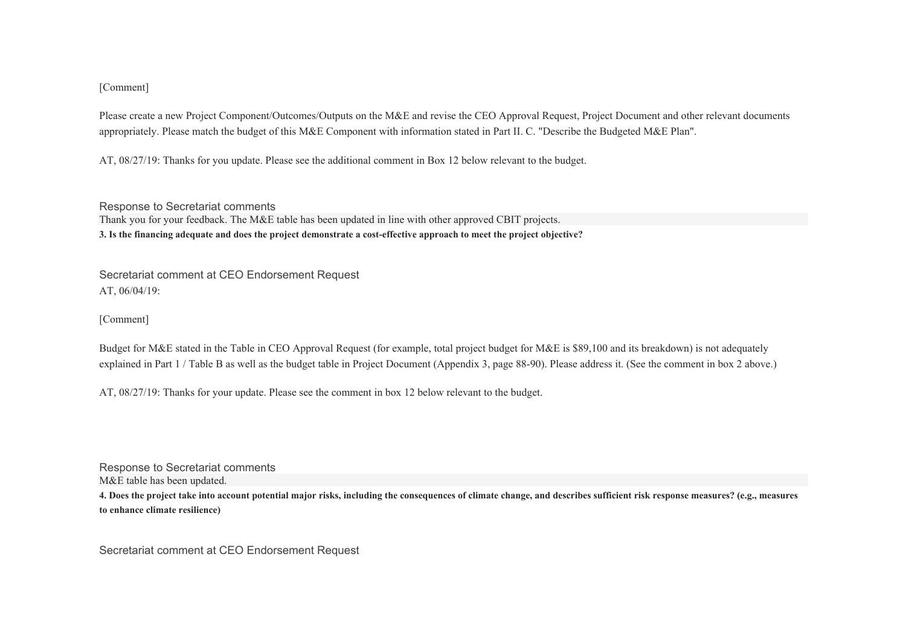#### [Comment]

Please create a new Project Component/Outcomes/Outputs on the M&E and revise the CEO Approval Request, Project Document and other relevant documents appropriately. Please match the budget of this M&E Component with information stated in Part II. C. "Describe the Budgeted M&E Plan".

AT, 08/27/19: Thanks for you update. Please see the additional comment in Box 12 below relevant to the budget.

Response to Secretariat comments Thank you for your feedback. The M&E table has been updated in line with other approved CBIT projects. **3. Is the financing adequate and does the project demonstrate a cost-effective approach to meet the project objective?** 

Secretariat comment at CEO Endorsement Request AT, 06/04/19:

[Comment]

Budget for M&E stated in the Table in CEO Approval Request (for example, total project budget for M&E is \$89,100 and its breakdown) is not adequately explained in Part 1 / Table B as well as the budget table in Project Document (Appendix 3, page 88-90). Please address it. (See the comment in box 2 above.)

AT, 08/27/19: Thanks for your update. Please see the comment in box 12 below relevant to the budget.

Response to Secretariat comments M&E table has been updated.

**4. Does the project take into account potential major risks, including the consequences of climate change, and describes sufficient risk response measures? (e.g., measures to enhance climate resilience)** 

Secretariat comment at CEO Endorsement Request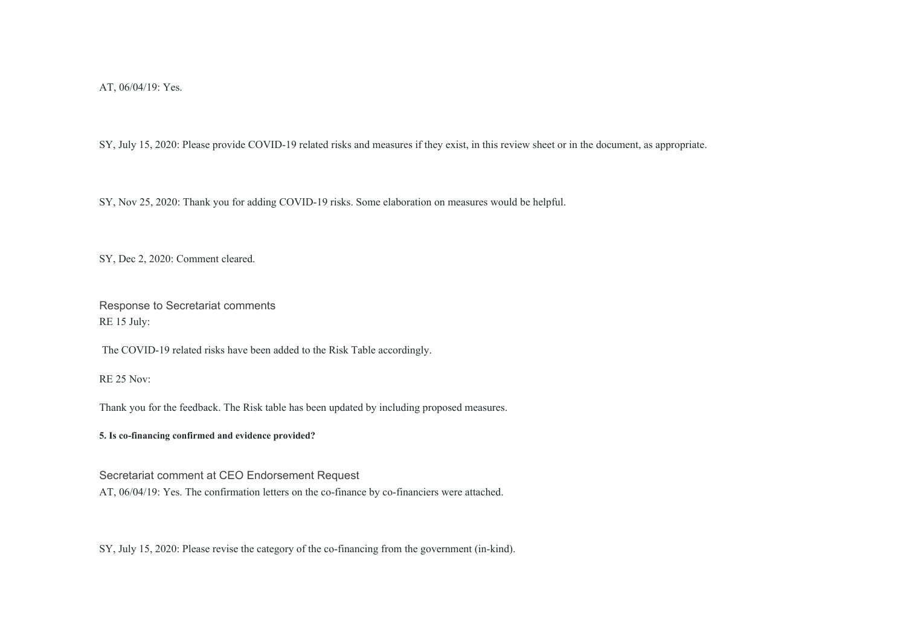AT, 06/04/19: Yes.

SY, July 15, 2020: Please provide COVID-19 related risks and measures if they exist, in this review sheet or in the document, as appropriate.

SY, Nov 25, 2020: Thank you for adding COVID-19 risks. Some elaboration on measures would be helpful.

SY, Dec 2, 2020: Comment cleared.

Response to Secretariat comments RE 15 July:

The COVID-19 related risks have been added to the Risk Table accordingly.

RE 25 Nov:

Thank you for the feedback. The Risk table has been updated by including proposed measures.

**5. Is co-financing confirmed and evidence provided?** 

Secretariat comment at CEO Endorsement Request

AT, 06/04/19: Yes. The confirmation letters on the co-finance by co-financiers were attached.

SY, July 15, 2020: Please revise the category of the co-financing from the government (in-kind).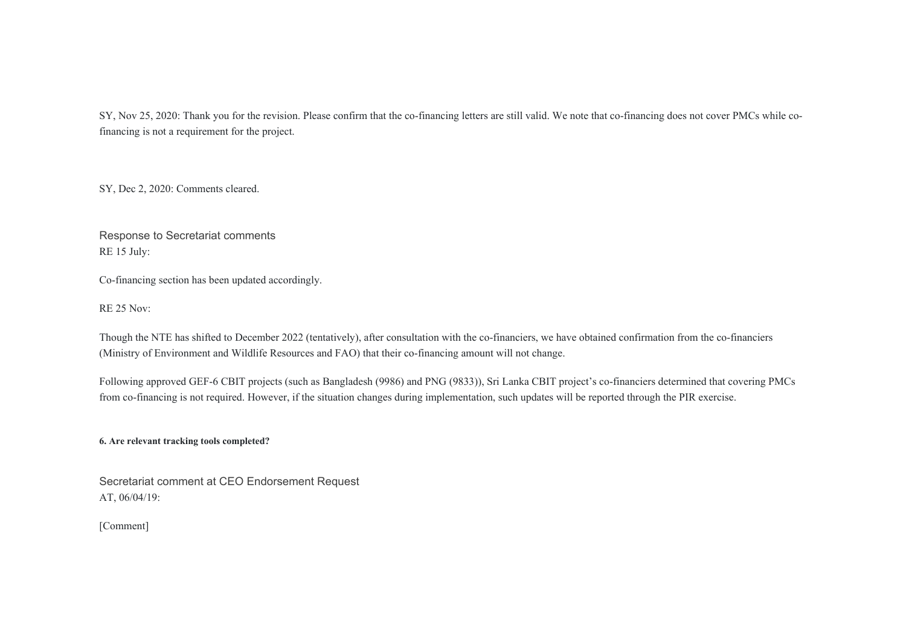SY, Nov 25, 2020: Thank you for the revision. Please confirm that the co-financing letters are still valid. We note that co-financing does not cover PMCs while cofinancing is not a requirement for the project.

SY, Dec 2, 2020: Comments cleared.

Response to Secretariat comments RE 15 July:

Co-financing section has been updated accordingly.

RE 25 Nov:

Though the NTE has shifted to December 2022 (tentatively), after consultation with the co-financiers, we have obtained confirmation from the co-financiers (Ministry of Environment and Wildlife Resources and FAO) that their co-financing amount will not change.

Following approved GEF-6 CBIT projects (such as Bangladesh (9986) and PNG (9833)), Sri Lanka CBIT project's co-financiers determined that covering PMCs from co-financing is not required. However, if the situation changes during implementation, such updates will be reported through the PIR exercise.

**6. Are relevant tracking tools completed?** 

Secretariat comment at CEO Endorsement Request AT, 06/04/19:

[Comment]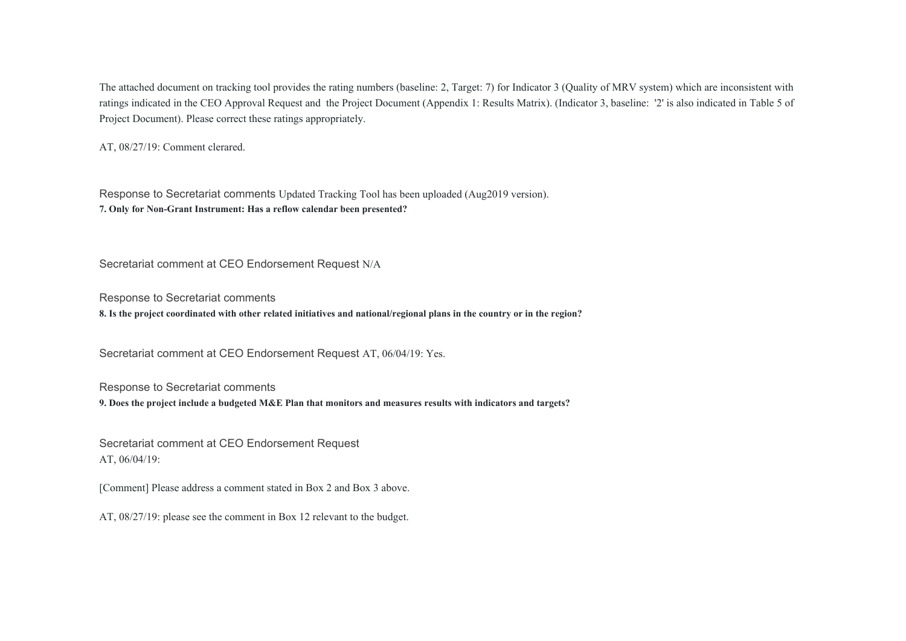The attached document on tracking tool provides the rating numbers (baseline: 2, Target: 7) for Indicator 3 (Quality of MRV system) which are inconsistent with ratings indicated in the CEO Approval Request and the Project Document (Appendix 1: Results Matrix). (Indicator 3, baseline: '2' is also indicated in Table 5 of Project Document). Please correct these ratings appropriately.

AT, 08/27/19: Comment clerared.

Response to Secretariat comments Updated Tracking Tool has been uploaded (Aug2019 version). **7. Only for Non-Grant Instrument: Has a reflow calendar been presented?** 

Secretariat comment at CEO Endorsement Request N/A

Response to Secretariat comments

**8. Is the project coordinated with other related initiatives and national/regional plans in the country or in the region?** 

Secretariat comment at CEO Endorsement Request AT, 06/04/19: Yes.

Response to Secretariat comments

**9. Does the project include a budgeted M&E Plan that monitors and measures results with indicators and targets?** 

Secretariat comment at CEO Endorsement Request AT, 06/04/19:

[Comment] Please address a comment stated in Box 2 and Box 3 above.

AT, 08/27/19: please see the comment in Box 12 relevant to the budget.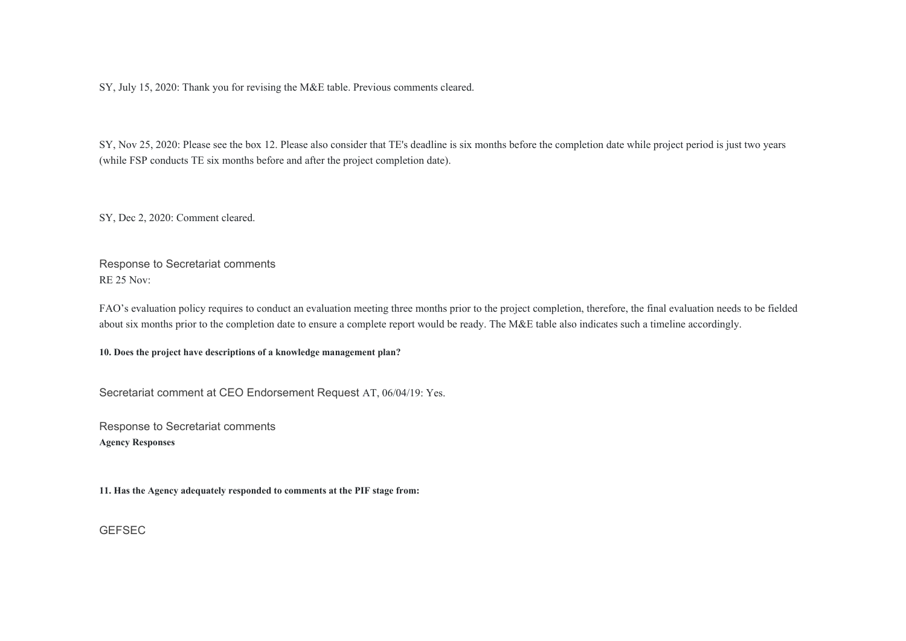SY, July 15, 2020: Thank you for revising the M&E table. Previous comments cleared.

SY, Nov 25, 2020: Please see the box 12. Please also consider that TE's deadline is six months before the completion date while project period is just two years (while FSP conducts TE six months before and after the project completion date).

SY, Dec 2, 2020: Comment cleared.

Response to Secretariat comments RE 25 Nov:

FAO's evaluation policy requires to conduct an evaluation meeting three months prior to the project completion, therefore, the final evaluation needs to be fielded about six months prior to the completion date to ensure a complete report would be ready. The M&E table also indicates such a timeline accordingly.

**10. Does the project have descriptions of a knowledge management plan?** 

Secretariat comment at CEO Endorsement Request AT, 06/04/19: Yes.

Response to Secretariat comments **Agency Responses** 

**11. Has the Agency adequately responded to comments at the PIF stage from:** 

**GEFSEC**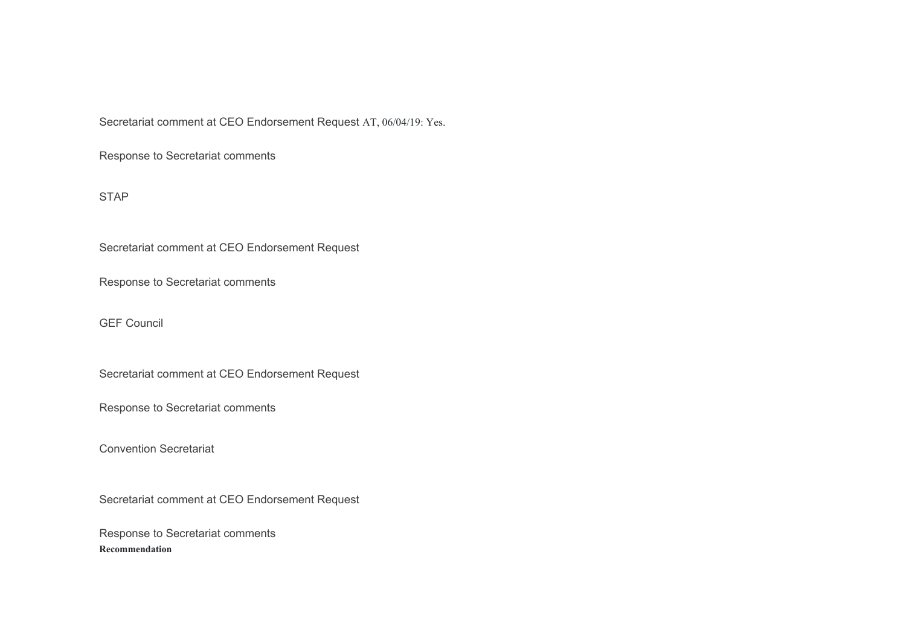Secretariat comment at CEO Endorsement Request AT, 06/04/19: Yes.

Response to Secretariat comments

STAP

Secretariat comment at CEO Endorsement Request

Response to Secretariat comments

GEF Council

Secretariat comment at CEO Endorsement Request

Response to Secretariat comments

Convention Secretariat

Secretariat comment at CEO Endorsement Request

Response to Secretariat comments **Recommendation**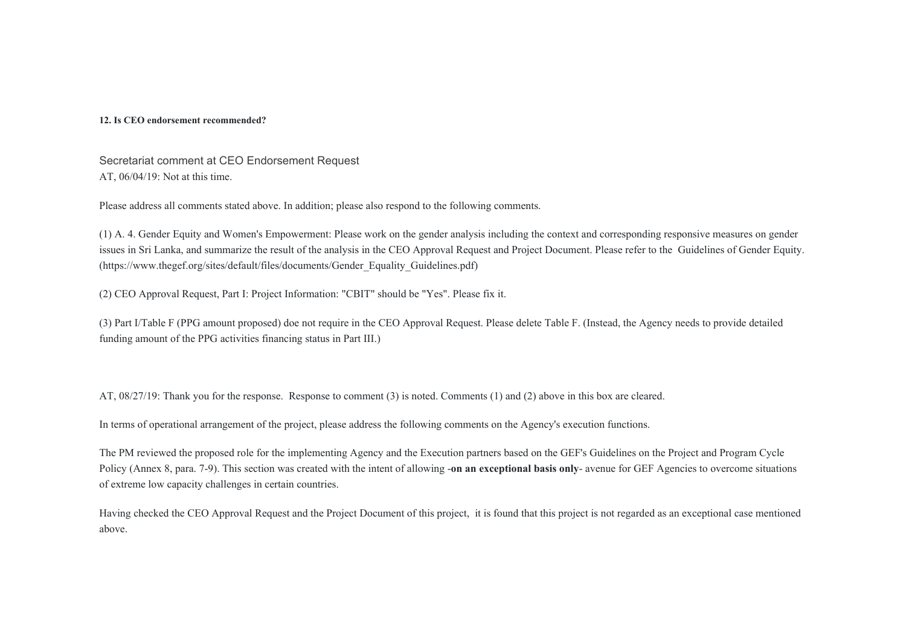#### **12. Is CEO endorsement recommended?**

Secretariat comment at CEO Endorsement Request AT, 06/04/19: Not at this time.

Please address all comments stated above. In addition; please also respond to the following comments.

(1) A. 4. Gender Equity and Women's Empowerment: Please work on the gender analysis including the context and corresponding responsive measures on gender issues in Sri Lanka, and summarize the result of the analysis in the CEO Approval Request and Project Document. Please refer to the Guidelines of Gender Equity. (https://www.thegef.org/sites/default/files/documents/Gender\_Equality\_Guidelines.pdf)

(2) CEO Approval Request, Part I: Project Information: "CBIT" should be "Yes". Please fix it.

(3) Part I/Table F (PPG amount proposed) doe not require in the CEO Approval Request. Please delete Table F. (Instead, the Agency needs to provide detailed funding amount of the PPG activities financing status in Part III.)

AT, 08/27/19: Thank you for the response. Response to comment (3) is noted. Comments (1) and (2) above in this box are cleared.

In terms of operational arrangement of the project, please address the following comments on the Agency's execution functions.

The PM reviewed the proposed role for the implementing Agency and the Execution partners based on the GEF's Guidelines on the Project and Program Cycle Policy (Annex 8, para. 7-9). This section was created with the intent of allowing -**on an exceptional basis only**- avenue for GEF Agencies to overcome situations of extreme low capacity challenges in certain countries.

Having checked the CEO Approval Request and the Project Document of this project, it is found that this project is not regarded as an exceptional case mentioned above.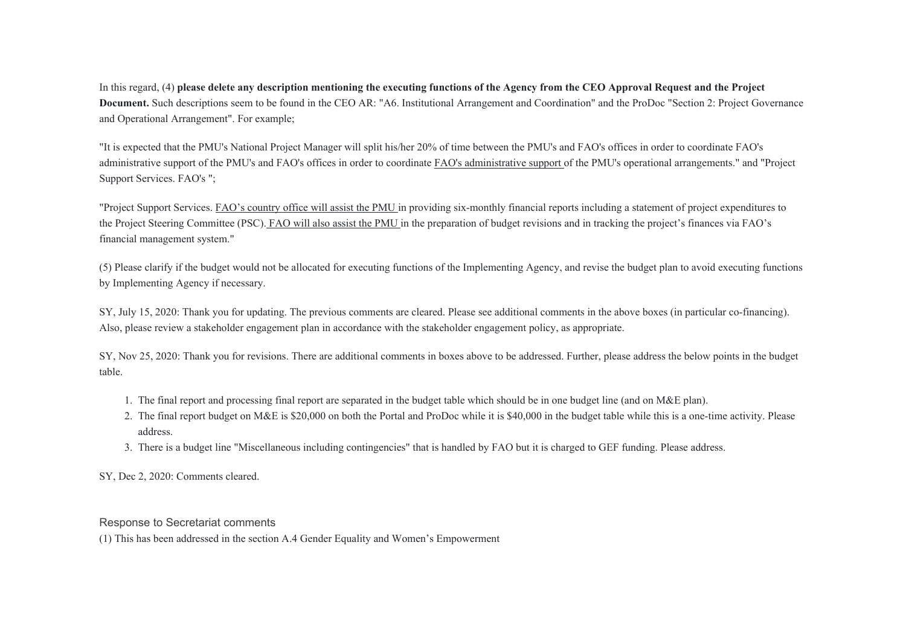In this regard, (4) **please delete any description mentioning the executing functions of the Agency from the CEO Approval Request and the Project Document.** Such descriptions seem to be found in the CEO AR: "A6. Institutional Arrangement and Coordination" and the ProDoc "Section 2: Project Governance and Operational Arrangement". For example;

"It is expected that the PMU's National Project Manager will split his/her 20% of time between the PMU's and FAO's offices in order to coordinate FAO's administrative support of the PMU's and FAO's offices in order to coordinate FAO's administrative support of the PMU's operational arrangements." and "Project Support Services. FAO's ";

"Project Support Services. FAO's country office will assist the PMU in providing six-monthly financial reports including a statement of project expenditures to the Project Steering Committee (PSC). FAO will also assist the PMU in the preparation of budget revisions and in tracking the project's finances via FAO's financial management system."

(5) Please clarify if the budget would not be allocated for executing functions of the Implementing Agency, and revise the budget plan to avoid executing functions by Implementing Agency if necessary.

SY, July 15, 2020: Thank you for updating. The previous comments are cleared. Please see additional comments in the above boxes (in particular co-financing). Also, please review a stakeholder engagement plan in accordance with the stakeholder engagement policy, as appropriate.

SY, Nov 25, 2020: Thank you for revisions. There are additional comments in boxes above to be addressed. Further, please address the below points in the budget table.

- 1. The final report and processing final report are separated in the budget table which should be in one budget line (and on M&E plan).
- 2. The final report budget on M&E is \$20,000 on both the Portal and ProDoc while it is \$40,000 in the budget table while this is a one-time activity. Please address.
- 3. There is a budget line "Miscellaneous including contingencies" that is handled by FAO but it is charged to GEF funding. Please address.

SY, Dec 2, 2020: Comments cleared.

#### Response to Secretariat comments

(1) This has been addressed in the section A.4 Gender Equality and Women's Empowerment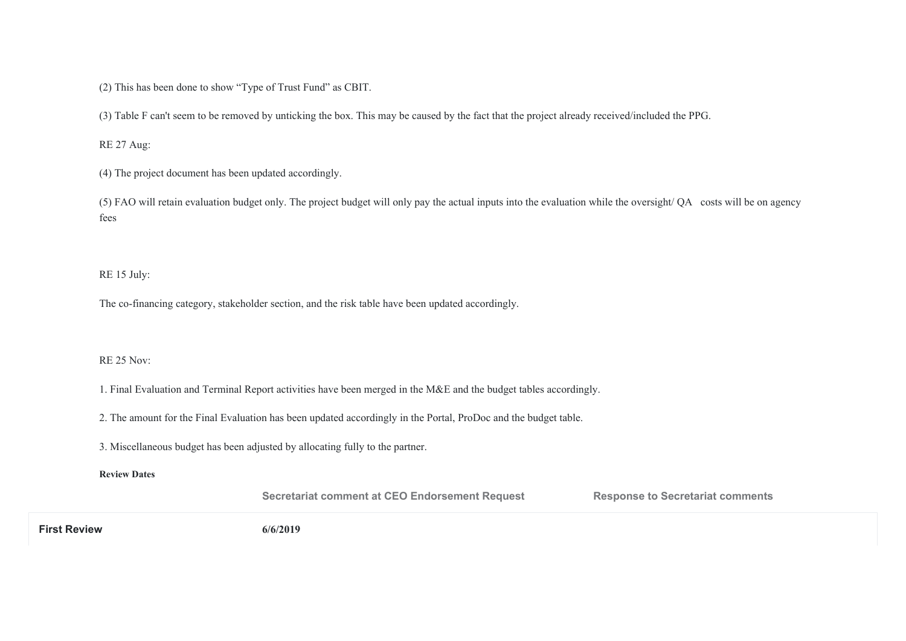(2) This has been done to show "Type of Trust Fund" as CBIT.

(3) Table F can't seem to be removed by unticking the box. This may be caused by the fact that the project already received/included the PPG.

RE 27 Aug:

(4) The project document has been updated accordingly.

(5) FAO will retain evaluation budget only. The project budget will only pay the actual inputs into the evaluation while the oversight/ QA costs will be on agency fees

RE 15 July:

The co-financing category, stakeholder section, and the risk table have been updated accordingly.

#### RE 25 Nov:

1. Final Evaluation and Terminal Report activities have been merged in the M&E and the budget tables accordingly.

2. The amount for the Final Evaluation has been updated accordingly in the Portal, ProDoc and the budget table.

3. Miscellaneous budget has been adjusted by allocating fully to the partner.

**Review Dates** 

**Secretariat comment at CEO Endorsement Request <b>Response to Secretariat comments** 

**First Review 6/6/2019**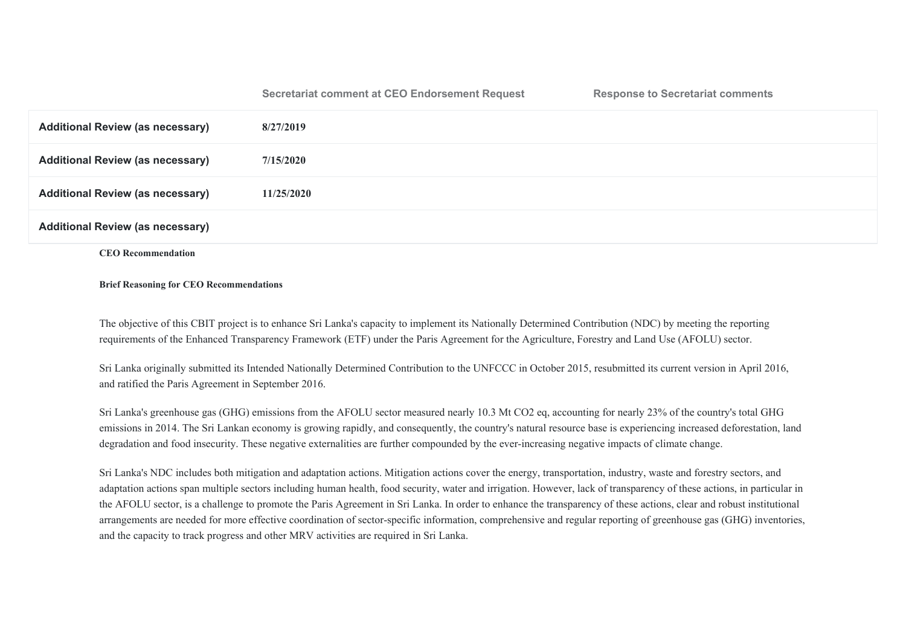#### **Secretariat comment at CEO Endorsement Request Response to Secretariat comments**

| <b>Additional Review (as necessary)</b> | 8/27/2019  |
|-----------------------------------------|------------|
| <b>Additional Review (as necessary)</b> | 7/15/2020  |
| <b>Additional Review (as necessary)</b> | 11/25/2020 |
| <b>Additional Review (as necessary)</b> |            |

**CEO Recommendation** 

#### **Brief Reasoning for CEO Recommendations**

The objective of this CBIT project is to enhance Sri Lanka's capacity to implement its Nationally Determined Contribution (NDC) by meeting the reporting requirements of the Enhanced Transparency Framework (ETF) under the Paris Agreement for the Agriculture, Forestry and Land Use (AFOLU) sector.

Sri Lanka originally submitted its Intended Nationally Determined Contribution to the UNFCCC in October 2015, resubmitted its current version in April 2016, and ratified the Paris Agreement in September 2016.

Sri Lanka's greenhouse gas (GHG) emissions from the AFOLU sector measured nearly 10.3 Mt CO2 eq, accounting for nearly 23% of the country's total GHG emissions in 2014. The Sri Lankan economy is growing rapidly, and consequently, the country's natural resource base is experiencing increased deforestation, land degradation and food insecurity. These negative externalities are further compounded by the ever-increasing negative impacts of climate change.

Sri Lanka's NDC includes both mitigation and adaptation actions. Mitigation actions cover the energy, transportation, industry, waste and forestry sectors, and adaptation actions span multiple sectors including human health, food security, water and irrigation. However, lack of transparency of these actions, in particular in the AFOLU sector, is a challenge to promote the Paris Agreement in Sri Lanka. In order to enhance the transparency of these actions, clear and robust institutional arrangements are needed for more effective coordination of sector-specific information, comprehensive and regular reporting of greenhouse gas (GHG) inventories, and the capacity to track progress and other MRV activities are required in Sri Lanka.